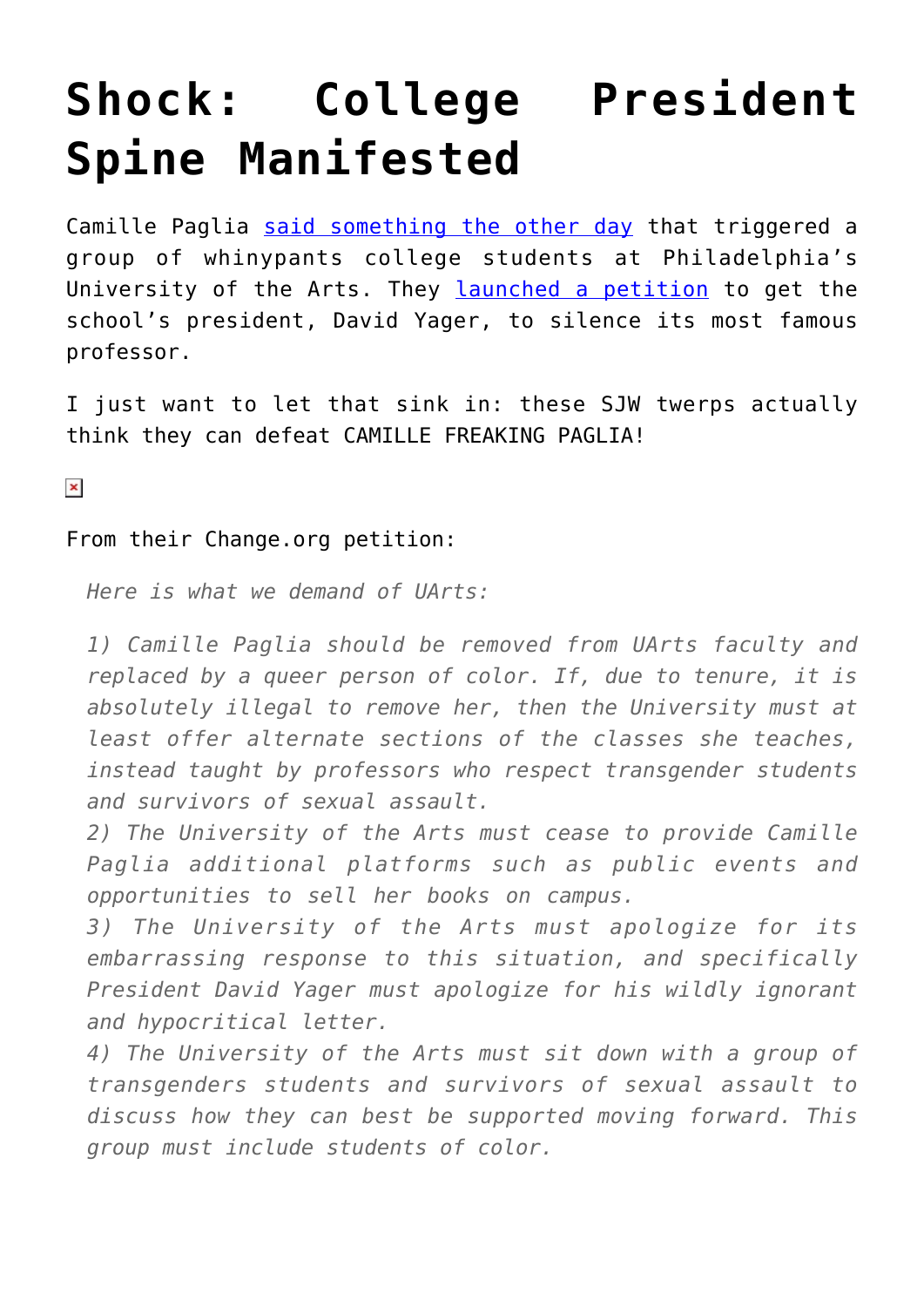## **[Shock: College President](https://intellectualtakeout.org/2019/04/shock-college-president-spine-manifested/) [Spine Manifested](https://intellectualtakeout.org/2019/04/shock-college-president-spine-manifested/)**

Camille Paglia [said something the other day](https://www.youtube.com/watch?v=jRX4gscvHtA) that triggered a group of whinypants college students at Philadelphia's University of the Arts. They [launched a petition](https://www.change.org/p/uarts-president-david-yager-uarts-support-transgender-students-and-survivors-of-sexual-assault) to get the school's president, David Yager, to silence its most famous professor.

I just want to let that sink in: these SJW twerps actually think they can defeat CAMILLE FREAKING PAGLIA!

 $\pmb{\times}$ 

## From their Change.org petition:

*Here is what we demand of UArts:*

*1) Camille Paglia should be removed from UArts faculty and replaced by a queer person of color. If, due to tenure, it is absolutely illegal to remove her, then the University must at least offer alternate sections of the classes she teaches, instead taught by professors who respect transgender students and survivors of sexual assault.*

*2) The University of the Arts must cease to provide Camille Paglia additional platforms such as public events and opportunities to sell her books on campus.*

*3) The University of the Arts must apologize for its embarrassing response to this situation, and specifically President David Yager must apologize for his wildly ignorant and hypocritical letter.*

*4) The University of the Arts must sit down with a group of transgenders students and survivors of sexual assault to discuss how they can best be supported moving forward. This group must include students of color.*